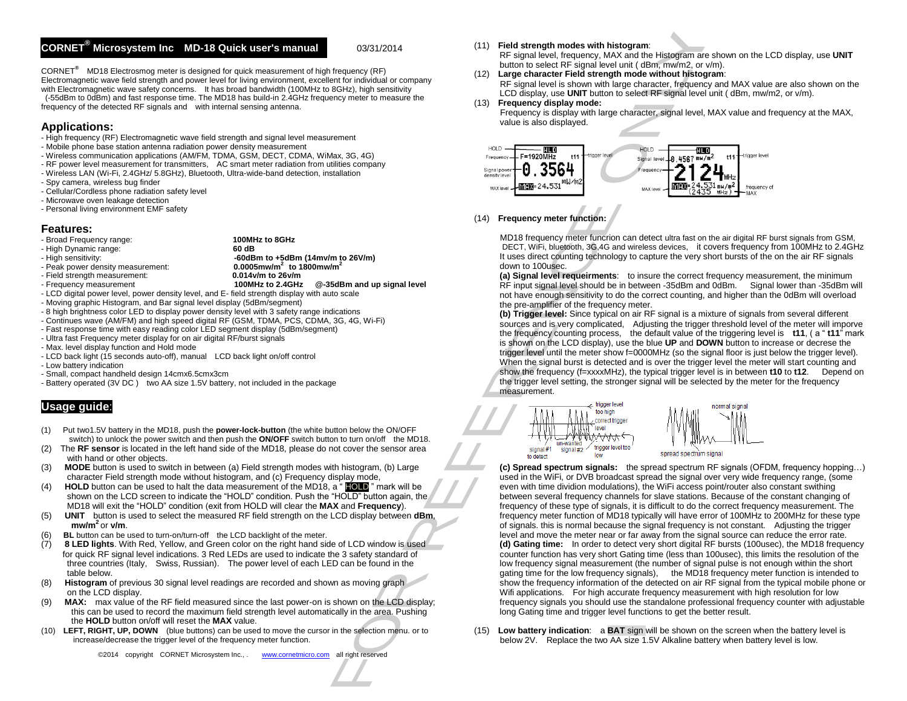## **CORNET® Microsystem Inc MD-18 Quick user's manual:** 03/31/2014

CORNET**®** MD18 Electrosmog meter is designed for quick measurement of high frequency (RF) Electromagnetic wave field strength and power level for living environment, excellent for individual or company with Electromagnetic wave safety concerns. It has broad bandwidth (100MHz to 8GHz), high sensitivity (-55dBm to 0dBm) and fast response time. The MD18 has build-in 2.4GHz frequency meter to measure the frequency of the detected RF signals and with internal sensing antenna.

## **Applications:**

- High frequency (RF) Electromagnetic wave field strength and signal level measurement
- Mobile phone base station antenna radiation power density measurement
- Wireless communication applications (AM/FM, TDMA, GSM, DECT, CDMA, WiMax, 3G, 4G)
- RF power level measurement for transmitters, AC smart meter radiation from utilities company
- Wireless LAN (Wi-Fi, 2.4GHz/ 5.8GHz), Bluetooth, Ultra-wide-band detection, installation
- Spy camera, wireless bug finder
- Cellular/Cordless phone radiation safety level
- Microwave oven leakage detection
- Personal living environment EMF safety

## **Features:**

- Broad Frequency range: **100MHz to 8GHz** 

- High Dynamic range:<br>- High sensitivity:

- 
- $-60$ dBm to  $+5$ dBm (14mv/m to 26V/m)<br>0.0005mw/m<sup>2</sup> to 1800mw/m<sup>2</sup> - Peak power density measurement: **0.0005mw/m<sup>2</sup> to 1**<br>- Field strength measurement: **0.014v/m to 26v/m** - Field strength measurement: **0.014v/m to 26v/m**  $@-35dBr$  and up signal level
	-
- LCD digital power level, power density level, and E- field strength display with auto scale
- Moving graphic Histogram, and Bar signal level display (5dBm/segment)
- 8 high brightness color LED to display power density level with 3 safety range indications
- Continues wave (AM/FM) and high speed digital RF (GSM, TDMA, PCS, CDMA, 3G, 4G, Wi-Fi)
- Fast response time with easy reading color LED segment display (5dBm/segment)
- Ultra fast Frequency meter display for on air digital RF/burst signals
- Max. level display function and Hold mode
- LCD back light (15 seconds auto-off), manual LCD back light on/off control
- Low battery indication
- Small, compact handheld design 14cmx6.5cmx3cm
- Battery operated (3V DC ) two AA size 1.5V battery, not included in the package

# **Usage guide**:

- (1) Put two1.5V battery in the MD18, push the **power-lock-button** (the white button below the ON/OFF switch) to unlock the power switch and then push the **ON/OFF** switch button to turn on/off the MD18.
- (2) The **RF sensor** is located in the left hand side of the MD18, please do not cover the sensor area with hand or other objects.<br>(3) **MODE** button is used to sw
- (3) **MODE** button is used to switch in between (a) Field strength modes with histogram, (b) Large character Field strength mode without histogram, and (c) Frequency display mode,
- (4) **HOLD** button can be used to halt the data measurement of the MD18, a "**HOLD**" mark will be shown on the LCD screen to indicate the "HOLD" condition. Push the "HOLD" button again, the MD18 will exit the "HOLD" condition (exit from HOLD will clear the **MAX** and **Frequency**).
- (5) **UNIT** button is used to select the measured RF field strength on the LCD display between **dBm**,  $\frac{1}{2}$  **mw/m<sup>2</sup>** or **v/m**.
- BL button can be used to turn-on/turn-off the LCD backlight of the meter.
- (7) **8 LED lights**. With Red, Yellow, and Green color on the right hand side of LCD window is used for quick RF signal level indications. 3 Red LEDs are used to indicate the 3 safety standard of three countries (Italy, Swiss, Russian). The power level of each LED can be found in the table below.
- (8) **Histogram** of previous 30 signal level readings are recorded and shown as moving graph on the LCD display.
- (9) **MAX:** max value of the RF field measured since the last power-on is shown on the LCD display; this can be used to record the maximum field strength level automatically in the area. Pushing the **HOLD** button on/off will reset the **MAX** value.
- (10) **LEFT, RIGHT, UP, DOWN** (blue buttons) can be used to move the cursor in the selection menu. or to increase/decrease the trigger level of the frequency meter function.

#### (11) **Field strength modes with histogram**:

RF signal level, frequency, MAX and the Histogram are shown on the LCD display, use **UNIT** button to select RF signal level unit ( dBm, mw/m2, or v/m).

- (12) **Large character Field strength mode without histogram**:
	- RF signal level is shown with large character, frequency and MAX value are also shown on the LCD display, use **UNIT** button to select RF signal level unit ( dBm, mw/m2, or v/m).

#### (13) **Frequency display mode:**

Frequency is display with large character, signal level, MAX value and frequency at the MAX, value is also displayed.



## (14) **Frequency meter function:**

MD18 frequency meter funcrion can detect ultra fast on the air digital RF burst signals from GSM, DECT, WiFi, bluetooth, 3G,4G and wireless devices, it covers frequency from 100MHz to 2.4GHz It uses direct counting technology to capture the very short bursts of the on the air RF signals down to 100usec.

**(a) Signal level requeirments**: to insure the correct frequency measurement, the minimum RF input signal level should be in between -35dBm and 0dBm. Signal lower than -35dBm will not have enough sensitivity to do the correct counting, and higher than the 0dBm will overload the pre-amplifier of the frequency meter.

**(b) Trigger level:** Since typical on air RF signal is a mixture of signals from several different sources and is very complicated, Adjusting the trigger threshold level of the meter will imporve the frequency counting process, the default value of the triggering level is **t11**, ( a " **t11**" mark is shown on the LCD display), use the blue **UP** and **DOWN** button to increase or decrese the trigger level until the meter show f=0000MHz (so the signal floor is just below the trigger level). When the signal burst is detected and is over the trigger level the meter will start counting and show the frequency (f=xxxxMHz), the typical trigger level is in between **t10** to **t12**. Depend on the trigger level setting, the stronger signal will be selected by the meter for the frequency measurement.



**(c) Spread spectrum signals:** the spread spectrum RF signals (OFDM, frequency hopping…) used in the WiFi, or DVB broadcast spread the signal over very wide frequency range, (some even with time dividion modulations), the WiFi access point/router also constant swithing between several frequency channels for slave stations. Because of the constant changing of frequency of these type of signals, it is difficult to do the correct frequency measurement. The frequency meter function of MD18 typically will have error of 100MHz to 200MHz for these type of signals. this is normal because the signal frequency is not constant. Adjusting the trigger level and move the meter near or far away from the signal source can reduce the error rate. **(d) Gating time:** In order to detect very short digital RF bursts (100usec), the MD18 frequency counter function has very short Gating time (less than 100usec), this limits the resolution of the low frequency signal measurement (the number of signal pulse is not enough within the short gating time for the low frequency signals), the MD18 frequency meter function is intended to show the frequency information of the detected on air RF signal from the typical mobile phone or Wifi applications. For high accurate frequency measurement with high resolution for low frequency signals you should use the standalone professional frequency counter with adjustable long Gating time and trigger level functions to get the better result. Cornection of the internet internet internet into the internet internet into the internet into the internet into the internet into the internet into the internet into the internet into the internet into the internet into

(15) **Low battery indication**: a **BAT** sign will be shown on the screen when the battery level is below 2V. Replace the two AA size 1.5V Alkaline battery when battery level is low.